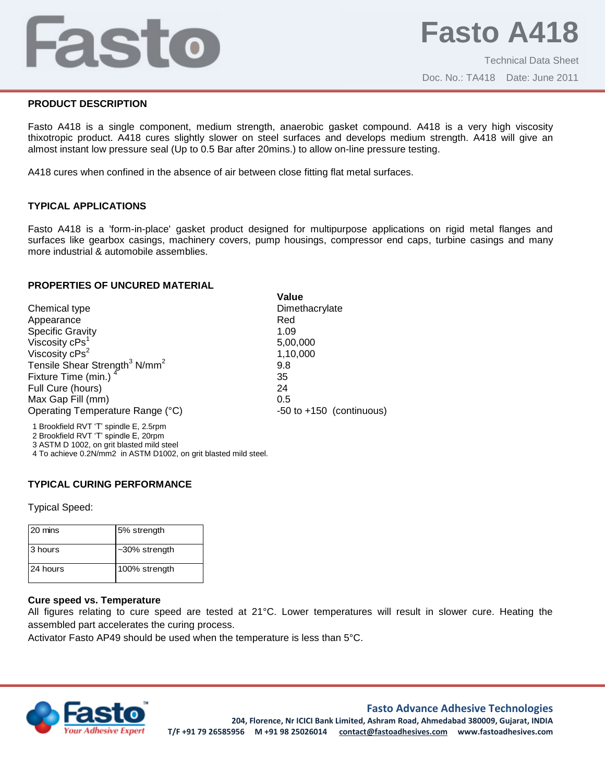# Fasto

## **PRODUCT DESCRIPTION**

Fasto A418 is a single component, medium strength, anaerobic gasket compound. A418 is a very high viscosity thixotropic product. A418 cures slightly slower on steel surfaces and develops medium strength. A418 will give an almost instant low pressure seal (Up to 0.5 Bar after 20mins.) to allow on-line pressure testing.

A418 cures when confined in the absence of air between close fitting flat metal surfaces.

# **TYPICAL APPLICATIONS**

Fasto A418 is a 'form-in-place' gasket product designed for multipurpose applications on rigid metal flanges and surfaces like gearbox casings, machinery covers, pump housings, compressor end caps, turbine casings and many more industrial & automobile assemblies.

**Value**

#### **PROPERTIES OF UNCURED MATERIAL**

|                                                       | value                        |
|-------------------------------------------------------|------------------------------|
| Chemical type                                         | Dimethacrylate               |
| Appearance                                            | Red                          |
| <b>Specific Gravity</b>                               | 1.09                         |
| Viscosity cPs <sup>1</sup>                            | 5,00,000                     |
| Viscosity cPs <sup>2</sup>                            | 1,10,000                     |
| Tensile Shear Strength <sup>3</sup> N/mm <sup>2</sup> | 9.8                          |
| Fixture Time (min.) <sup>4</sup>                      | 35                           |
| Full Cure (hours)                                     | 24                           |
| Max Gap Fill (mm)                                     | 0.5                          |
| Operating Temperature Range (°C)                      | $-50$ to $+150$ (continuous) |
| 1 Brookfield RVT 'T' spindle E, 2.5rpm                |                              |

2 Brookfield RVT 'T' spindle E, 20rpm

3 ASTM D 1002, on grit blasted mild steel

4 To achieve 0.2N/mm2 in ASTM D1002, on grit blasted mild steel.

#### **TYPICAL CURING PERFORMANCE**

Typical Speed:

| 20 mins  | 5% strength      |
|----------|------------------|
| 3 hours  | $-30\%$ strength |
| 24 hours | 100% strength    |

## **Cure speed vs. Temperature**

All figures relating to cure speed are tested at 21°C. Lower temperatures will result in slower cure. Heating the assembled part accelerates the curing process.

Activator Fasto AP49 should be used when the temperature is less than 5°C.



#### **Fasto Advance Adhesive Technologies**

**204, Florence, Nr ICICI Bank Limited, Ashram Road, Ahmedabad 380009, Gujarat, INDIA T/F +91 79 26585956 M +91 98 25026014 contact@fastoadhesives.com www.fastoadhesives.com**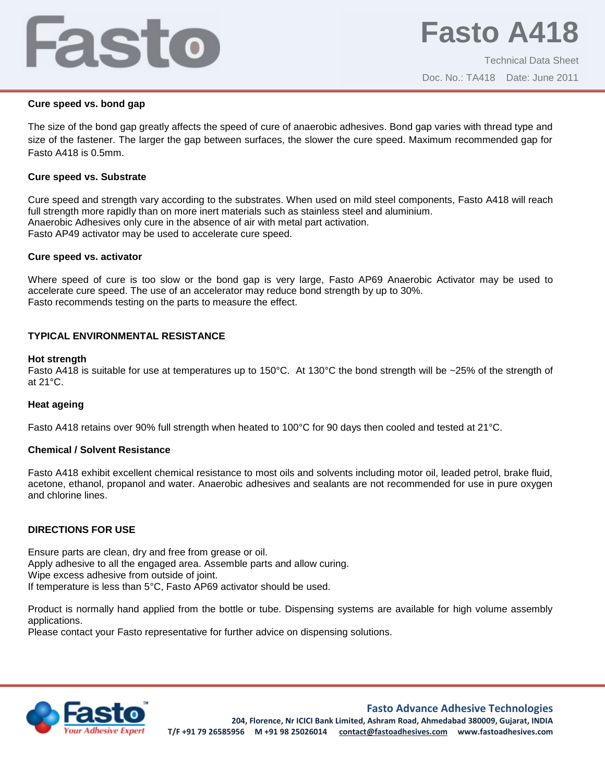# Fasto

#### **Cure speed vs. bond gap**

The size of the bond gap greatly affects the speed of cure of anaerobic adhesives. Bond gap varies with thread type and size of the fastener. The larger the gap between surfaces, the slower the cure speed. Maximum recommended gap for Fasto A418 is 0.5mm.

#### **Cure speed vs. Substrate**

Cure speed and strength vary according to the substrates. When used on mild steel components, Fasto A418 will reach full strength more rapidly than on more inert materials such as stainless steel and aluminium. Anaerobic Adhesives only cure in the absence of air with metal part activation. Fasto AP49 activator may be used to accelerate cure speed.

## **Cure speed vs. activator**

Where speed of cure is too slow or the bond gap is very large, Fasto AP69 Anaerobic Activator may be used to accelerate cure speed. The use of an accelerator may reduce bond strength by up to 30%. Fasto recommends testing on the parts to measure the effect.

# **TYPICAL ENVIRONMENTAL RESISTANCE**

## **Hot strength**

Fasto A418 is suitable for use at temperatures up to 150°C. At 130°C the bond strength will be ~25% of the strength of at 21°C.

# **Heat ageing**

Fasto A418 retains over 90% full strength when heated to 100°C for 90 days then cooled and tested at 21°C.

# **Chemical / Solvent Resistance**

Fasto A418 exhibit excellent chemical resistance to most oils and solvents including motor oil, leaded petrol, brake fluid, acetone, ethanol, propanol and water. Anaerobic adhesives and sealants are not recommended for use in pure oxygen and chlorine lines.

# **DIRECTIONS FOR USE**

Ensure parts are clean, dry and free from grease or oil. Apply adhesive to all the engaged area. Assemble parts and allow curing. Wipe excess adhesive from outside of joint. If temperature is less than 5°C, Fasto AP69 activator should be used.

Product is normally hand applied from the bottle or tube. Dispensing systems are available for high volume assembly applications.

Please contact your Fasto representative for further advice on dispensing solutions.



# **Fasto Advance Adhesive Technologies**

**204, Florence, Nr ICICI Bank Limited, Ashram Road, Ahmedabad 380009, Gujarat, INDIA T/F +91 79 26585956 M +91 98 25026014 contact@fastoadhesives.com www.fastoadhesives.com**